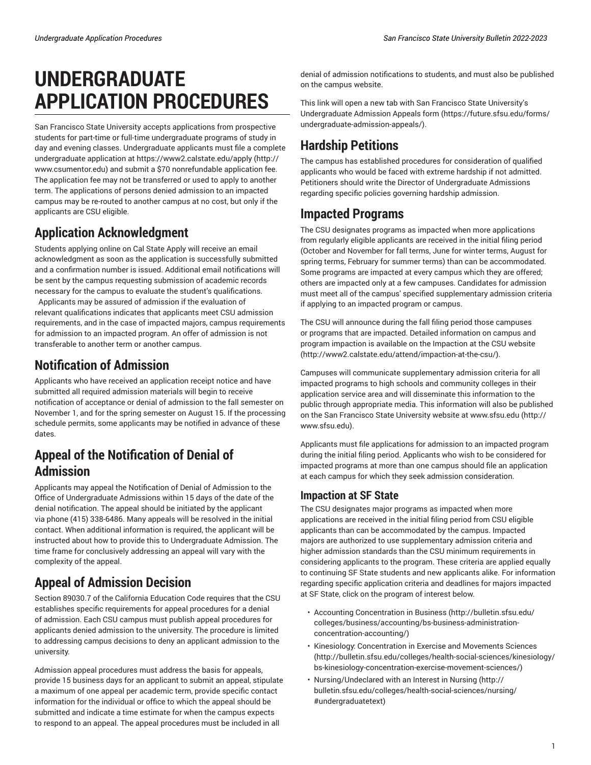#### *Undergraduate Application Procedures San Francisco State University Bulletin 2022-2023*

# **UNDERGRADUATE APPLICATION PROCEDURES**

San Francisco State University accepts applications from prospective students for part-time or full-time undergraduate programs of study in day and evening classes. Undergraduate applicants must file a complete undergraduate application at [https://www2.calstate.edu/apply](http://www.csumentor.edu) ([http://](http://www.csumentor.edu) [www.csumentor.edu](http://www.csumentor.edu)) and submit a \$70 nonrefundable application fee. The application fee may not be transferred or used to apply to another term. The applications of persons denied admission to an impacted campus may be re-routed to another campus at no cost, but only if the applicants are CSU eligible.

# **Application Acknowledgment**

Students applying online on Cal State Apply will receive an email acknowledgment as soon as the application is successfully submitted and a confirmation number is issued. Additional email notifications will be sent by the campus requesting submission of academic records necessary for the campus to evaluate the student's qualifications.

Applicants may be assured of admission if the evaluation of relevant qualifications indicates that applicants meet CSU admission requirements, and in the case of impacted majors, campus requirements for admission to an impacted program. An offer of admission is not transferable to another term or another campus.

# **Notification of Admission**

Applicants who have received an application receipt notice and have submitted all required admission materials will begin to receive notification of acceptance or denial of admission to the fall semester on November 1, and for the spring semester on August 15. If the processing schedule permits, some applicants may be notified in advance of these dates.

## **Appeal of the Notification of Denial of Admission**

Applicants may appeal the Notification of Denial of Admission to the Office of Undergraduate Admissions within 15 days of the date of the denial notification. The appeal should be initiated by the applicant via phone (415) 338-6486. Many appeals will be resolved in the initial contact. When additional information is required, the applicant will be instructed about how to provide this to Undergraduate Admission. The time frame for conclusively addressing an appeal will vary with the complexity of the appeal.

# **Appeal of Admission Decision**

Section 89030.7 of the California Education Code requires that the CSU establishes specific requirements for appeal procedures for a denial of admission. Each CSU campus must publish appeal procedures for applicants denied admission to the university. The procedure is limited to addressing campus decisions to deny an applicant admission to the university.

Admission appeal procedures must address the basis for appeals, provide 15 business days for an applicant to submit an appeal, stipulate a maximum of one appeal per academic term, provide specific contact information for the individual or office to which the appeal should be submitted and indicate a time estimate for when the campus expects to respond to an appeal. The appeal procedures must be included in all

denial of admission notifications to students, and must also be published on the campus website.

This link will open a new tab with San Francisco State [University's](https://future.sfsu.edu/forms/undergraduate-admission-appeals/) [Undergraduate](https://future.sfsu.edu/forms/undergraduate-admission-appeals/) Admission Appeals form ([https://future.sfsu.edu/forms/](https://future.sfsu.edu/forms/undergraduate-admission-appeals/) [undergraduate-admission-appeals/](https://future.sfsu.edu/forms/undergraduate-admission-appeals/)).

# **Hardship Petitions**

The campus has established procedures for consideration of qualified applicants who would be faced with extreme hardship if not admitted. Petitioners should write the Director of Undergraduate Admissions regarding specific policies governing hardship admission.

### **Impacted Programs**

The CSU designates programs as impacted when more applications from regularly eligible applicants are received in the initial filing period (October and November for fall terms, June for winter terms, August for spring terms, February for summer terms) than can be accommodated. Some programs are impacted at every campus which they are offered; others are impacted only at a few campuses. Candidates for admission must meet all of the campus' specified supplementary admission criteria if applying to an impacted program or campus.

The CSU will announce during the fall filing period those campuses or programs that are impacted. Detailed information on campus and program impaction is available on [the Impaction at the CSU website](http://www2.calstate.edu/attend/impaction-at-the-csu/) [\(http://www2.calstate.edu/attend/impaction-at-the-csu/\)](http://www2.calstate.edu/attend/impaction-at-the-csu/).

Campuses will communicate supplementary admission criteria for all impacted programs to high schools and community colleges in their application service area and will disseminate this information to the public through appropriate media. This information will also be published on the San Francisco State University website at [www.sfsu.edu](http://www.sfsu.edu) ([http://](http://www.sfsu.edu) [www.sfsu.edu](http://www.sfsu.edu)).

Applicants must file applications for admission to an impacted program during the initial filing period. Applicants who wish to be considered for impacted programs at more than one campus should file an application at each campus for which they seek admission consideration.

#### **Impaction at SF State**

The CSU designates major programs as impacted when more applications are received in the initial filing period from CSU eligible applicants than can be accommodated by the campus. Impacted majors are authorized to use supplementary admission criteria and higher admission standards than the CSU minimum requirements in considering applicants to the program. These criteria are applied equally to continuing SF State students and new applicants alike. For information regarding specific application criteria and deadlines for majors impacted at SF State, click on the program of interest below.

- [Accounting Concentration in Business](http://bulletin.sfsu.edu/colleges/business/accounting/bs-business-administration-concentration-accounting/) ([http://bulletin.sfsu.edu/](http://bulletin.sfsu.edu/colleges/business/accounting/bs-business-administration-concentration-accounting/) [colleges/business/accounting/bs-business-administration](http://bulletin.sfsu.edu/colleges/business/accounting/bs-business-administration-concentration-accounting/)[concentration-accounting/](http://bulletin.sfsu.edu/colleges/business/accounting/bs-business-administration-concentration-accounting/))
- Kinesiology: [Concentration](http://bulletin.sfsu.edu/colleges/health-social-sciences/kinesiology/bs-kinesiology-concentration-exercise-movement-sciences/) in Exercise and Movements Sciences [\(http://bulletin.sfsu.edu/colleges/health-social-sciences/kinesiology/](http://bulletin.sfsu.edu/colleges/health-social-sciences/kinesiology/bs-kinesiology-concentration-exercise-movement-sciences/) [bs-kinesiology-concentration-exercise-movement-sciences/\)](http://bulletin.sfsu.edu/colleges/health-social-sciences/kinesiology/bs-kinesiology-concentration-exercise-movement-sciences/)
- [Nursing/Undeclared](http://bulletin.sfsu.edu/colleges/health-social-sciences/nursing/#undergraduatetext) with an Interest in Nursing [\(http://](http://bulletin.sfsu.edu/colleges/health-social-sciences/nursing/#undergraduatetext) [bulletin.sfsu.edu/colleges/health-social-sciences/nursing/](http://bulletin.sfsu.edu/colleges/health-social-sciences/nursing/#undergraduatetext) [#undergraduatetext\)](http://bulletin.sfsu.edu/colleges/health-social-sciences/nursing/#undergraduatetext)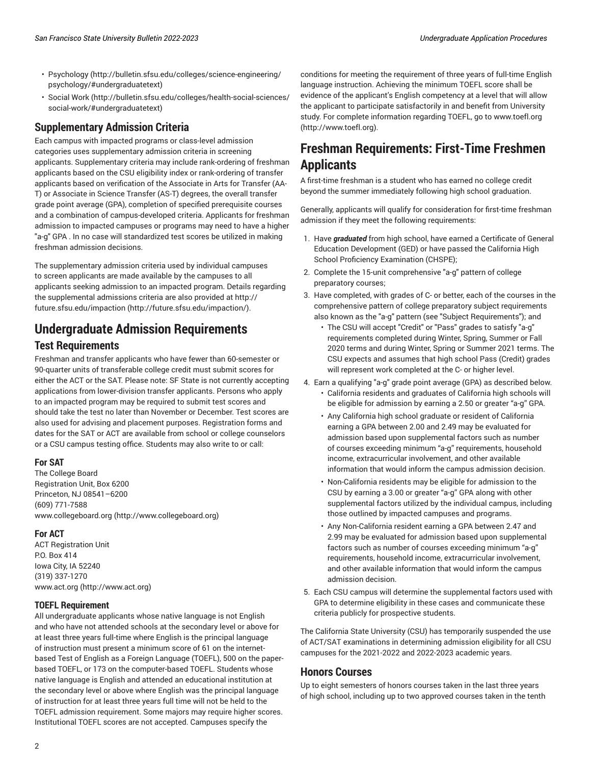- [Psychology \(http://bulletin.sfsu.edu/colleges/science-engineering/](http://bulletin.sfsu.edu/colleges/science-engineering/psychology/#undergraduatetext) [psychology/#undergraduatetext\)](http://bulletin.sfsu.edu/colleges/science-engineering/psychology/#undergraduatetext)
- [Social](http://bulletin.sfsu.edu/colleges/health-social-sciences/social-work/#undergraduatetext) Work [\(http://bulletin.sfsu.edu/colleges/health-social-sciences/](http://bulletin.sfsu.edu/colleges/health-social-sciences/social-work/#undergraduatetext) [social-work/#undergraduatetext\)](http://bulletin.sfsu.edu/colleges/health-social-sciences/social-work/#undergraduatetext)

#### **Supplementary Admission Criteria**

Each campus with impacted programs or class-level admission categories uses supplementary admission criteria in screening applicants. Supplementary criteria may include rank-ordering of freshman applicants based on the CSU eligibility index or rank-ordering of transfer applicants based on verification of the Associate in Arts for Transfer (AA-T) or Associate in Science Transfer (AS-T) degrees, the overall transfer grade point average (GPA), completion of specified prerequisite courses and a combination of campus-developed criteria. Applicants for freshman admission to impacted campuses or programs may need to have a higher "a-g" GPA . In no case will standardized test scores be utilized in making freshman admission decisions.

The supplementary admission criteria used by individual campuses to screen applicants are made available by the campuses to all applicants seeking admission to an impacted program. Details regarding the supplemental admissions criteria are also provided at [http://](http://future.sfsu.edu/impaction/) [future.sfsu.edu/impaction](http://future.sfsu.edu/impaction/) (<http://future.sfsu.edu/impaction/>).

# **Undergraduate Admission Requirements**

#### **Test Requirements**

Freshman and transfer applicants who have fewer than 60-semester or 90-quarter units of transferable college credit must submit scores for either the ACT or the SAT. Please note: SF State is not currently accepting applications from lower-division transfer applicants. Persons who apply to an impacted program may be required to submit test scores and should take the test no later than November or December. Test scores are also used for advising and placement purposes. Registration forms and dates for the SAT or ACT are available from school or college counselors or a CSU campus testing office. Students may also write to or call:

#### **For SAT**

The College Board Registration Unit, Box 6200 Princeton, NJ 08541–6200 (609) 771-7588 [www.collegeboard.org](http://www.collegeboard.org) (<http://www.collegeboard.org>)

#### **For ACT**

ACT Registration Unit P.O. Box 414 Iowa City, IA 52240 (319) 337-1270 [www.act.org](http://www.act.org) (<http://www.act.org>)

#### **TOEFL Requirement**

All undergraduate applicants whose native language is not English and who have not attended schools at the secondary level or above for at least three years full-time where English is the principal language of instruction must present a minimum score of 61 on the internetbased Test of English as a Foreign Language (TOEFL), 500 on the paperbased TOEFL, or 173 on the computer-based TOEFL. Students whose native language is English and attended an educational institution at the secondary level or above where English was the principal language of instruction for at least three years full time will not be held to the TOEFL admission requirement. Some majors may require higher scores. Institutional TOEFL scores are not accepted. Campuses specify the

conditions for meeting the requirement of three years of full-time English language instruction. Achieving the minimum TOEFL score shall be evidence of the applicant's English competency at a level that will allow the applicant to participate satisfactorily in and benefit from University study. For complete information regarding TOEFL, go to [www.toefl.org](http://www.toefl.org) [\(http://www.toefl.org](http://www.toefl.org)).

## **Freshman Requirements: First-Time Freshmen Applicants**

A first-time freshman is a student who has earned no college credit beyond the summer immediately following high school graduation.

Generally, applicants will qualify for consideration for first-time freshman admission if they meet the following requirements:

- 1. Have *graduated* from high school, have earned a Certificate of General Education Development (GED) or have passed the California High School Proficiency Examination (CHSPE);
- 2. Complete the 15-unit comprehensive "a-g" pattern of college preparatory courses;
- 3. Have completed, with grades of C- or better, each of the courses in the comprehensive pattern of college preparatory subject requirements also known as the "a-g" pattern (see "Subject Requirements"); and
	- The CSU will accept "Credit" or "Pass" grades to satisfy "a-g" requirements completed during Winter, Spring, Summer or Fall 2020 terms and during Winter, Spring or Summer 2021 terms. The CSU expects and assumes that high school Pass (Credit) grades will represent work completed at the C- or higher level.
- 4. Earn a qualifying "a-g" grade point average (GPA) as described below. • California residents and graduates of California high schools will be eligible for admission by earning a 2.50 or greater "a-g" GPA.
	- Any California high school graduate or resident of California earning a GPA between 2.00 and 2.49 may be evaluated for admission based upon supplemental factors such as number of courses exceeding minimum "a-g" requirements, household income, extracurricular involvement, and other available information that would inform the campus admission decision.
	- Non-California residents may be eligible for admission to the CSU by earning a 3.00 or greater "a-g" GPA along with other supplemental factors utilized by the individual campus, including those outlined by impacted campuses and programs.
	- Any Non-California resident earning a GPA between 2.47 and 2.99 may be evaluated for admission based upon supplemental factors such as number of courses exceeding minimum "a-g" requirements, household income, extracurricular involvement, and other available information that would inform the campus admission decision.
- 5. Each CSU campus will determine the supplemental factors used with GPA to determine eligibility in these cases and communicate these criteria publicly for prospective students.

The California State University (CSU) has temporarily suspended the use of ACT/SAT examinations in determining admission eligibility for all CSU campuses for the 2021-2022 and 2022-2023 academic years.

#### **Honors Courses**

Up to eight semesters of honors courses taken in the last three years of high school, including up to two approved courses taken in the tenth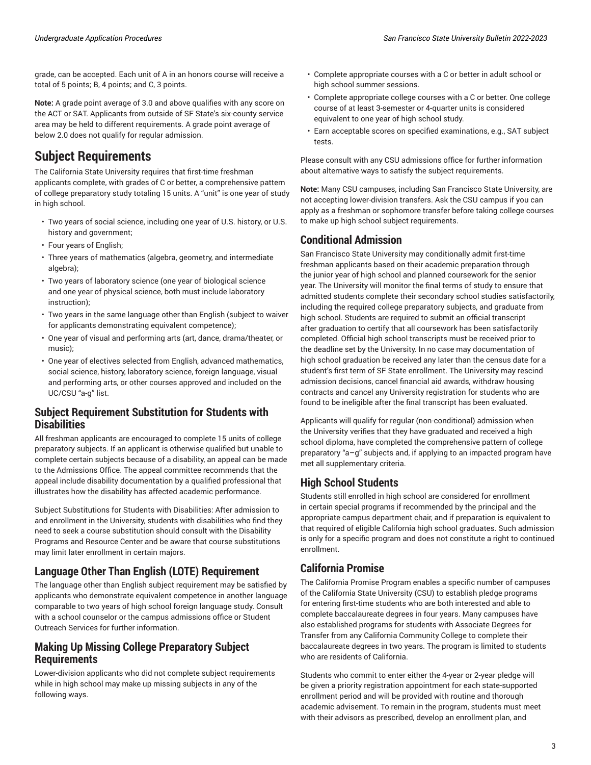grade, can be accepted. Each unit of A in an honors course will receive a total of 5 points; B, 4 points; and C, 3 points.

**Note:** A grade point average of 3.0 and above qualifies with any score on the ACT or SAT. Applicants from outside of SF State's six-county service area may be held to different requirements. A grade point average of below 2.0 does not qualify for regular admission.

### **Subject Requirements**

The California State University requires that first-time freshman applicants complete, with grades of C or better, a comprehensive pattern of college preparatory study totaling 15 units. A "unit" is one year of study in high school.

- Two years of social science, including one year of U.S. history, or U.S. history and government;
- Four years of English;
- Three years of mathematics (algebra, geometry, and intermediate algebra);
- Two years of laboratory science (one year of biological science and one year of physical science, both must include laboratory instruction);
- Two years in the same language other than English (subject to waiver for applicants demonstrating equivalent competence);
- One year of visual and performing arts (art, dance, drama/theater, or music);
- One year of electives selected from English, advanced mathematics, social science, history, laboratory science, foreign language, visual and performing arts, or other courses approved and included on the UC/CSU "a-g" list.

#### **Subject Requirement Substitution for Students with Disabilities**

All freshman applicants are encouraged to complete 15 units of college preparatory subjects. If an applicant is otherwise qualified but unable to complete certain subjects because of a disability, an appeal can be made to the Admissions Office. The appeal committee recommends that the appeal include disability documentation by a qualified professional that illustrates how the disability has affected academic performance.

Subject Substitutions for Students with Disabilities: After admission to and enrollment in the University, students with disabilities who find they need to seek a course substitution should consult with the Disability Programs and Resource Center and be aware that course substitutions may limit later enrollment in certain majors.

#### **Language Other Than English (LOTE) Requirement**

The language other than English subject requirement may be satisfied by applicants who demonstrate equivalent competence in another language comparable to two years of high school foreign language study. Consult with a school counselor or the campus admissions office or Student Outreach Services for further information.

#### **Making Up Missing College Preparatory Subject Requirements**

Lower-division applicants who did not complete subject requirements while in high school may make up missing subjects in any of the following ways.

- Complete appropriate courses with a C or better in adult school or high school summer sessions.
- Complete appropriate college courses with a C or better. One college course of at least 3-semester or 4-quarter units is considered equivalent to one year of high school study.
- Earn acceptable scores on specified examinations, e.g., SAT subject tests.

Please consult with any CSU admissions office for further information about alternative ways to satisfy the subject requirements.

**Note:** Many CSU campuses, including San Francisco State University, are not accepting lower-division transfers. Ask the CSU campus if you can apply as a freshman or sophomore transfer before taking college courses to make up high school subject requirements.

#### **Conditional Admission**

San Francisco State University may conditionally admit first-time freshman applicants based on their academic preparation through the junior year of high school and planned coursework for the senior year. The University will monitor the final terms of study to ensure that admitted students complete their secondary school studies satisfactorily, including the required college preparatory subjects, and graduate from high school. Students are required to submit an official transcript after graduation to certify that all coursework has been satisfactorily completed. Official high school transcripts must be received prior to the deadline set by the University. In no case may documentation of high school graduation be received any later than the census date for a student's first term of SF State enrollment. The University may rescind admission decisions, cancel financial aid awards, withdraw housing contracts and cancel any University registration for students who are found to be ineligible after the final transcript has been evaluated.

Applicants will qualify for regular (non-conditional) admission when the University verifies that they have graduated and received a high school diploma, have completed the comprehensive pattern of college preparatory "a–g" subjects and, if applying to an impacted program have met all supplementary criteria.

#### **High School Students**

Students still enrolled in high school are considered for enrollment in certain special programs if recommended by the principal and the appropriate campus department chair, and if preparation is equivalent to that required of eligible California high school graduates. Such admission is only for a specific program and does not constitute a right to continued enrollment.

### **California Promise**

The California Promise Program enables a specific number of campuses of the California State University (CSU) to establish pledge programs for entering first-time students who are both interested and able to complete baccalaureate degrees in four years. Many campuses have also established programs for students with Associate Degrees for Transfer from any California Community College to complete their baccalaureate degrees in two years. The program is limited to students who are residents of California.

Students who commit to enter either the 4-year or 2-year pledge will be given a priority registration appointment for each state-supported enrollment period and will be provided with routine and thorough academic advisement. To remain in the program, students must meet with their advisors as prescribed, develop an enrollment plan, and